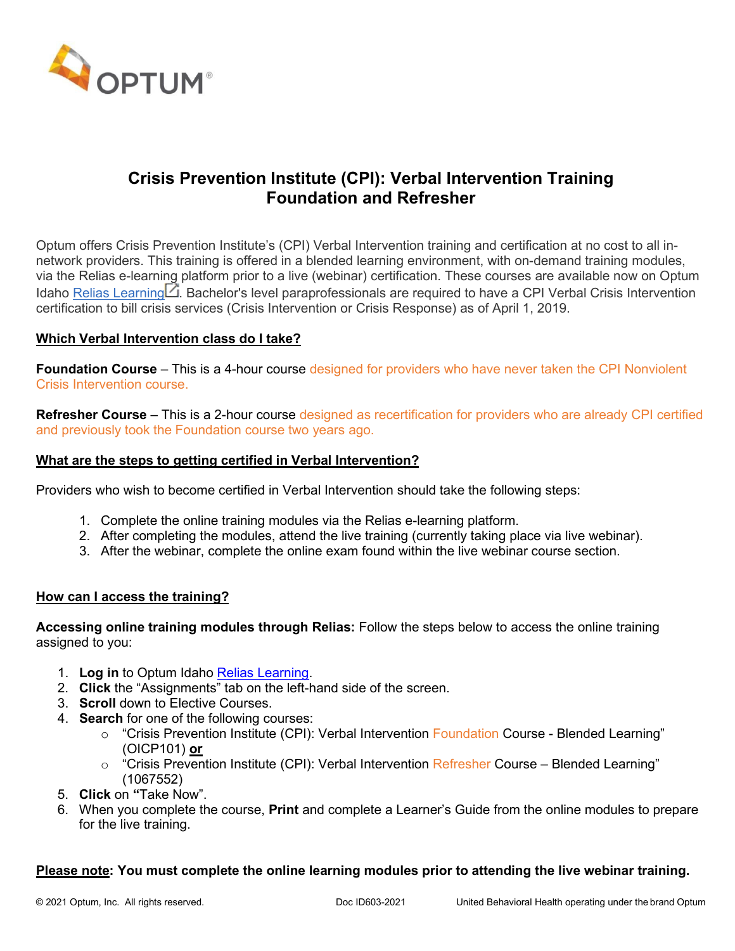

# **Crisis Prevention Institute (CPI): Verbal Intervention Training Foundation and Refresher**

Optum offers Crisis Prevention Institute's (CPI) Verbal Intervention training and certification at no cost to all innetwork providers. This training is offered in a blended learning environment, with on-demand training modules, via the Relias e-learni[ng](https://login.reliaslearning.com/login?returnUrl=%2Fconnect%2Fauthorize%2Fcallback%3Fclient_id%3Drlms-legacy%26response_mode%3Dform_post%26response_type%3Dcode%2520id_token%26scope%3Dusersapi%2520assessmentsapi%2520openid%2520impersonator%2520saml%2520offline_access%2520identityapi%26state%3DOpenIdConnect.AuthenticationProperties%253DxB2w3WZH_l-4UbfsLaorXfA0XiMGOMpUpowt_Z3goBAPL9pdwkDp5pRiW8tnGfjG_sNKcXhe9dyo7x8VKIWW8s8CB2WbyUfnjzbmvcuQLsMY3IJFPdYOJx2nuudvbqLvJP59awKi9mCEm4MwGYsgqjZKSpyp0esOp0tZOUujHa0nRqOTLLwbdlzWkOCtwiWI%26nonce%3D636848975619908309.YTg2NWE1OTYtMTdkNC00YWJlLTgxOGItZDM0ZTBhOTg5NDQzZGJiNTRiMTgtMzE1NS00ZjI2LWE3ZmYtOTUyMzIwMGU5Njc2%26redirect_uri%3Dhttps%253A%252F%252Foptumidaho.training.reliaslearning.com%26post_logout_redirect_uri%3Dhttps%253A%252F%252Foptumidaho.training.reliaslearning.com%26acr_values%3DorgId%253A2747%2520) platform prior to a live (webinar) certification. These courses are available now on Optum Idaho Relias [Learning](https://login.reliaslearning.com/login?returnUrl=%2Fconnect%2Fauthorize%2Fcallback%3Fclient_id%3Drlms-legacy%26response_mode%3Dform_post%26response_type%3Dcode%2520id_token%26scope%3Dusersapi%2520assessmentsapi%2520openid%2520impersonator%2520saml%2520offline_access%2520identityapi%26state%3DOpenIdConnect.AuthenticationProperties%253DxB2w3WZH_l-4UbfsLaorXfA0XiMGOMpUpowt_Z3goBAPL9pdwkDp5pRiW8tnGfjG_sNKcXhe9dyo7x8VKIWW8s8CB2WbyUfnjzbmvcuQLsMY3IJFPdYOJx2nuudvbqLvJP59awKi9mCEm4MwGYsgqjZKSpyp0esOp0tZOUujHa0nRqOTLLwbdlzWkOCtwiWI%26nonce%3D636848975619908309.YTg2NWE1OTYtMTdkNC00YWJlLTgxOGItZDM0ZTBhOTg5NDQzZGJiNTRiMTgtMzE1NS00ZjI2LWE3ZmYtOTUyMzIwMGU5Njc2%26redirect_uri%3Dhttps%253A%252F%252Foptumidaho.training.reliaslearning.com%26post_logout_redirect_uri%3Dhttps%253A%252F%252Foptumidaho.training.reliaslearning.com%26acr_values%3DorgId%253A2747%2520)  $\Box$ . Bachelor's level paraprofessionals are required to have a CPI Verbal Crisis Intervention certification to bill crisis services (Crisis Intervention or Crisis Response) as of April 1, 2019.

## **Which Verbal Intervention class do I take?**

**Foundation Course** – This is a 4-hour course designed for providers who have never taken the CPI Nonviolent Crisis Intervention course.

**Refresher Course** – This is a 2-hour course designed as recertification for providers who are already CPI certified and previously took the Foundation course two years ago.

## **What are the steps to getting certified in Verbal Intervention?**

Providers who wish to become certified in Verbal Intervention should take the following steps:

- 1. Complete the online training modules via the Relias e-learning platform.
- 2. After completing the modules, attend the live training (currently taking place via live webinar).
- 3. After the webinar, complete the online exam found within the live webinar course section.

#### **How can I access the training?**

**Accessing online training modules through Relias:** Follow the steps below to access the online training assigned to you:

- 1. **Log in** to Optum Idaho Relias [Learning.](https://optumidaho.training.reliaslearning.com/)
- 2. **Click** the "Assignments" tab on the left-hand side of the screen.
- 3. **Scroll** down to Elective Courses.
- 4. **Search** for one of the following courses:
	- o "Crisis Prevention Institute (CPI): Verbal Intervention Foundation Course Blended Learning" (OICP101) **or**
	- $\circ$  "Crisis Prevention Institute (CPI): Verbal Intervention Refresher Course Blended Learning" (1067552)
- 5. **Click** on **"**Take Now".
- 6. When you complete the course, **Print** and complete a Learner's Guide from the online modules to prepare for the live training.

#### **Please note: You must complete the online learning modules prior to attending the live webinar training.**